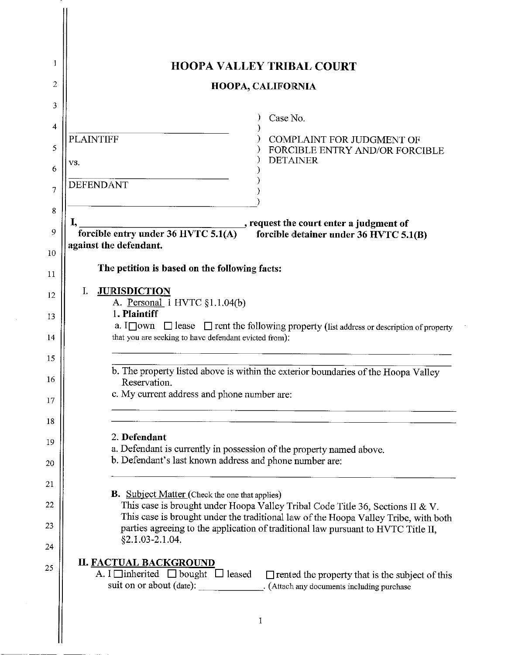| 1  | <b>HOOPA VALLEY TRIBAL COURT</b>                                                                                                                                      |
|----|-----------------------------------------------------------------------------------------------------------------------------------------------------------------------|
| 2  | HOOPA, CALIFORNIA                                                                                                                                                     |
| 3  | Case No.                                                                                                                                                              |
| 4  |                                                                                                                                                                       |
| 5  | <b>PLAINTIFF</b><br>COMPLAINT FOR JUDGMENT OF<br>FORCIBLE ENTRY AND/OR FORCIBLE<br><b>DETAINER</b><br>VS.                                                             |
| 6  |                                                                                                                                                                       |
| 7  | <b>DEFENDANT</b>                                                                                                                                                      |
| 8  |                                                                                                                                                                       |
| 9  | $\frac{1}{\text{forcible entry under 36 HVTC 5.1(A)}}$ , request the court enter a judgment of<br>ainst the defendant<br>l,<br>forcible detainer under 36 HVTC 5.1(B) |
| 10 | against the defendant.                                                                                                                                                |
| 11 | The petition is based on the following facts:                                                                                                                         |
| 12 | <b>JURISDICTION</b><br>I.                                                                                                                                             |
|    | A. Personal 1 HVTC §1.1.04(b)<br>1. Plaintiff                                                                                                                         |
| 13 | a. I $\Box$ own $\Box$ lease $\Box$ rent the following property (list address or description of property                                                              |
| 14 | that you are seeking to have defendant evicted from).                                                                                                                 |
| 15 | b. The property listed above is within the exterior boundaries of the Hoopa Valley                                                                                    |
| 16 | Reservation.                                                                                                                                                          |
| 17 | c. My current address and phone number are:                                                                                                                           |
| 18 |                                                                                                                                                                       |
| 19 | 2. Defendant                                                                                                                                                          |
| 20 | a. Defendant is currently in possession of the property named above.<br>b. Defendant's last known address and phone number are:                                       |
|    |                                                                                                                                                                       |
| 21 | <b>B.</b> Subject Matter (Check the one that applies)                                                                                                                 |
| 22 | This case is brought under Hoopa Valley Tribal Code Title 36, Sections II & V.<br>This case is brought under the traditional law of the Hoopa Valley Tribe, with both |
| 23 | parties agreeing to the application of traditional law pursuant to HVTC Title II,                                                                                     |
| 24 | $§2.1.03 - 2.1.04.$                                                                                                                                                   |
| 25 | <b>II. FACTUAL BACKGROUND</b><br>A. I $\Box$ inherited $\Box$ bought $\Box$ leased<br>$\Box$ rented the property that is the subject of this                          |
|    | suit on or about (date): _______________. (Attach any documents including purchase                                                                                    |
|    |                                                                                                                                                                       |
|    | 1                                                                                                                                                                     |
|    |                                                                                                                                                                       |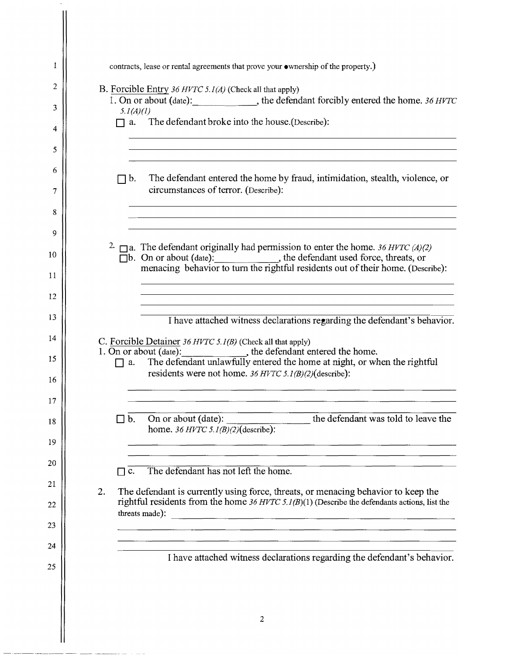| 1  | contracts, lease or rental agreements that prove your ownership of the property.)                                                                                                                                                                                 |
|----|-------------------------------------------------------------------------------------------------------------------------------------------------------------------------------------------------------------------------------------------------------------------|
| 2  | B. Forcible Entry 36 HVTC 5.1(A) (Check all that apply)                                                                                                                                                                                                           |
| 3  | 1. On or about (date): the defendant forcibly entered the home. 36 HVTC<br>5.1(A)(l)                                                                                                                                                                              |
| 4  | The defendant broke into the house. (Describe):<br>$\Box$ a.                                                                                                                                                                                                      |
| 5  |                                                                                                                                                                                                                                                                   |
| 6  |                                                                                                                                                                                                                                                                   |
| 7  | The defendant entered the home by fraud, intimidation, stealth, violence, or<br>$\Box$ b.<br>circumstances of terror. (Describe):                                                                                                                                 |
| 8  |                                                                                                                                                                                                                                                                   |
| 9  |                                                                                                                                                                                                                                                                   |
| 10 | <sup>2.</sup> $\Box$ a. The defendant originally had permission to enter the home. 36 HVTC (A)(2)<br>$\Box$ b. On or about (date): $\Box$ , the defendant used force, threats, or menacing behavior to turn the rightful residents out of their home. (Describe): |
| 11 |                                                                                                                                                                                                                                                                   |
| 12 |                                                                                                                                                                                                                                                                   |
| 13 | I have attached witness declarations regarding the defendant's behavior.                                                                                                                                                                                          |
| 14 | C. Forcible Detainer 36 HVTC 5.1(B) (Check all that apply)                                                                                                                                                                                                        |
| 15 | 1. On or about (date): the defendant entered the home.<br>$\Box$ a. The defendant unlawfully entered the home at night, or when the rightful                                                                                                                      |
| 16 | residents were not home. 36 HVTC 5.1(B)(2)(describe):                                                                                                                                                                                                             |
| 17 |                                                                                                                                                                                                                                                                   |
| 18 | On or about (date): _____________________ the defendant was told to leave the<br>$\Box$ b.<br>home. 36 HVTC 5.1(B)(2)(describe):                                                                                                                                  |
| 19 |                                                                                                                                                                                                                                                                   |
| 20 | The defendant has not left the home.<br>c.                                                                                                                                                                                                                        |
| 21 |                                                                                                                                                                                                                                                                   |
| 22 | The defendant is currently using force, threats, or menacing behavior to keep the<br>2.<br>rightful residents from the home $36 HVTC 5.1(B)(1)$ (Describe the defendants actions, list the<br>threats made):                                                      |
| 23 |                                                                                                                                                                                                                                                                   |
| 24 |                                                                                                                                                                                                                                                                   |
| 25 | I have attached witness declarations regarding the defendant's behavior.                                                                                                                                                                                          |
|    |                                                                                                                                                                                                                                                                   |